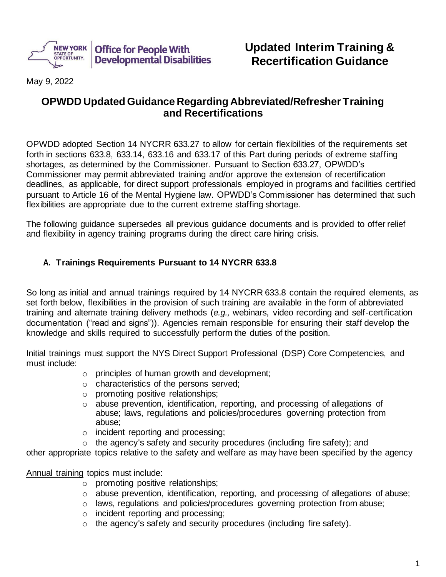

# **Updated Interim Training & Recertification Guidance**

May 9, 2022

# **OPWDD Updated Guidance Regarding Abbreviated/Refresher Training and Recertifications**

OPWDD adopted Section 14 NYCRR 633.27 to allow for certain flexibilities of the requirements set forth in sections 633.8, 633.14, 633.16 and 633.17 of this Part during periods of extreme staffing shortages, as determined by the Commissioner. Pursuant to Section 633.27, OPWDD's Commissioner may permit abbreviated training and/or approve the extension of recertification deadlines, as applicable, for direct support professionals employed in programs and facilities certified pursuant to Article 16 of the Mental Hygiene law. OPWDD's Commissioner has determined that such flexibilities are appropriate due to the current extreme staffing shortage.

The following guidance supersedes all previous guidance documents and is provided to offer relief and flexibility in agency training programs during the direct care hiring crisis.

#### **A. Trainings Requirements Pursuant to 14 NYCRR 633.8**

So long as initial and annual trainings required by 14 NYCRR 633.8 contain the required elements, as set forth below, flexibilities in the provision of such training are available in the form of abbreviated training and alternate training delivery methods (*e.g.,* webinars, video recording and self-certification documentation ("read and signs")). Agencies remain responsible for ensuring their staff develop the knowledge and skills required to successfully perform the duties of the position.

Initial trainings must support the NYS Direct Support Professional (DSP) Core Competencies, and must include:

- o principles of human growth and development;
- o characteristics of the persons served;
- o promoting positive relationships;
- o abuse prevention, identification, reporting, and processing of allegations of abuse; laws, regulations and policies/procedures governing protection from abuse;
- o incident reporting and processing;
- $\circ$  the agency's safety and security procedures (including fire safety); and

other appropriate topics relative to the safety and welfare as may have been specified by the agency

Annual training topics must include:

- o promoting positive relationships;
- o abuse prevention, identification, reporting, and processing of allegations of abuse;
- $\circ$  laws, regulations and policies/procedures governing protection from abuse;
- o incident reporting and processing;
- o the agency's safety and security procedures (including fire safety).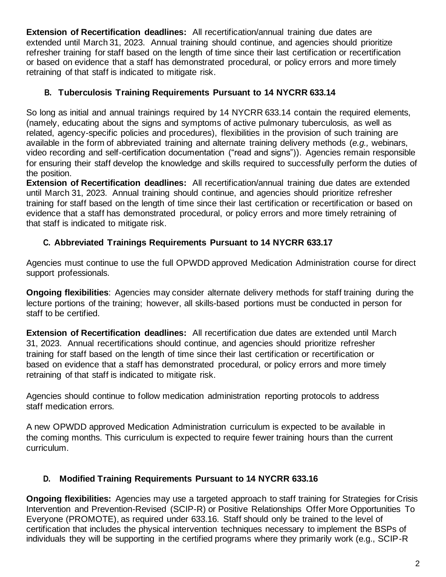**Extension of Recertification deadlines:** All recertification/annual training due dates are extended until March 31, 2023. Annual training should continue, and agencies should prioritize refresher training for staff based on the length of time since their last certification or recertification or based on evidence that a staff has demonstrated procedural, or policy errors and more timely retraining of that staff is indicated to mitigate risk.

#### **B. Tuberculosis Training Requirements Pursuant to 14 NYCRR 633.14**

So long as initial and annual trainings required by 14 NYCRR 633.14 contain the required elements, (namely, educating about the signs and symptoms of active pulmonary tuberculosis, as well as related, agency-specific policies and procedures), flexibilities in the provision of such training are available in the form of abbreviated training and alternate training delivery methods (*e.g.,* webinars, video recording and self-certification documentation ("read and signs")). Agencies remain responsible for ensuring their staff develop the knowledge and skills required to successfully perform the duties of the position.

**Extension of Recertification deadlines:** All recertification/annual training due dates are extended until March 31, 2023. Annual training should continue, and agencies should prioritize refresher training for staff based on the length of time since their last certification or recertification or based on evidence that a staff has demonstrated procedural, or policy errors and more timely retraining of that staff is indicated to mitigate risk.

## **C. Abbreviated Trainings Requirements Pursuant to 14 NYCRR 633.17**

Agencies must continue to use the full OPWDD approved Medication Administration course for direct support professionals.

**Ongoing flexibilities**: Agencies may consider alternate delivery methods for staff training during the lecture portions of the training; however, all skills-based portions must be conducted in person for staff to be certified.

**Extension of Recertification deadlines:** All recertification due dates are extended until March 31, 2023. Annual recertifications should continue, and agencies should prioritize refresher training for staff based on the length of time since their last certification or recertification or based on evidence that a staff has demonstrated procedural, or policy errors and more timely retraining of that staff is indicated to mitigate risk.

Agencies should continue to follow medication administration reporting protocols to address staff medication errors.

A new OPWDD approved Medication Administration curriculum is expected to be available in the coming months. This curriculum is expected to require fewer training hours than the current curriculum.

## **D. Modified Training Requirements Pursuant to 14 NYCRR 633.16**

**Ongoing flexibilities:** Agencies may use a targeted approach to staff training for Strategies for Crisis Intervention and Prevention-Revised (SCIP-R) or Positive Relationships Offer More Opportunities To Everyone (PROMOTE), as required under 633.16. Staff should only be trained to the level of certification that includes the physical intervention techniques necessary to implement the BSPs of individuals they will be supporting in the certified programs where they primarily work (e.g., SCIP-R